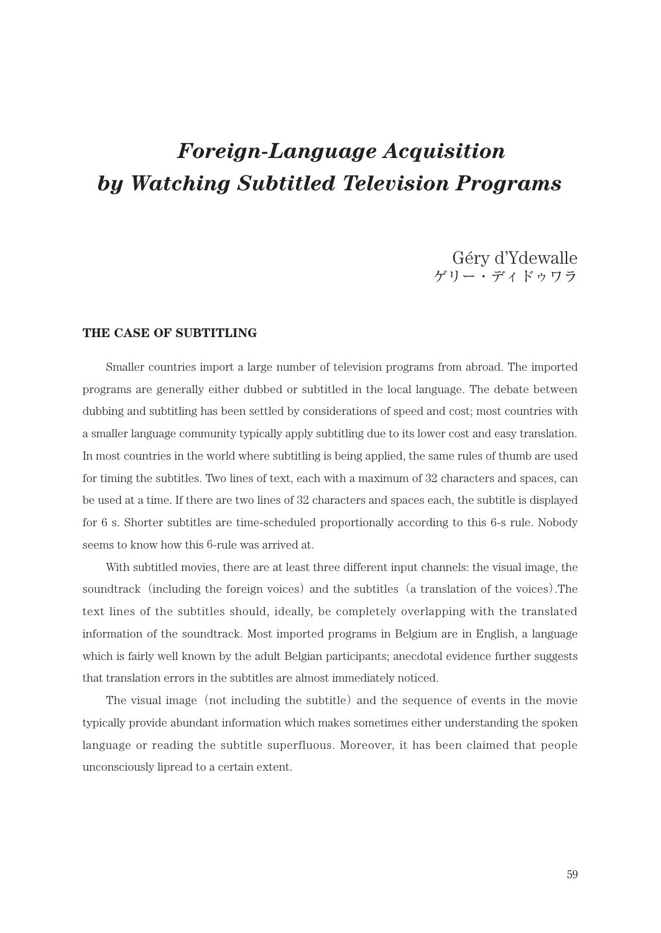# *Foreign-Language Acquisition by Watching Subtitled Television Programs*

Géry d'Ydewalle ゲリー・ディドゥワラ

#### **THE CASE OF SUBTITLING**

Smaller countries import a large number of television programs from abroad. The imported programs are generally either dubbed or subtitled in the local language. The debate between dubbing and subtitling has been settled by considerations of speed and cost; most countries with a smaller language community typically apply subtitling due to its lower cost and easy translation. In most countries in the world where subtitling is being applied, the same rules of thumb are used for timing the subtitles. Two lines of text, each with a maximum of 32 characters and spaces, can be used at a time. If there are two lines of 32 characters and spaces each, the subtitle is displayed for 6 s. Shorter subtitles are time-scheduled proportionally according to this 6-s rule. Nobody seems to know how this 6-rule was arrived at.

With subtitled movies, there are at least three different input channels: the visual image, the soundtrack (including the foreign voices) and the subtitles (a translation of the voices). The text lines of the subtitles should, ideally, be completely overlapping with the translated information of the soundtrack. Most imported programs in Belgium are in English, a language which is fairly well known by the adult Belgian participants; anecdotal evidence further suggests that translation errors in the subtitles are almost immediately noticed.

The visual image (not including the subtitle) and the sequence of events in the movie typically provide abundant information which makes sometimes either understanding the spoken language or reading the subtitle superfluous. Moreover, it has been claimed that people unconsciously lipread to a certain extent.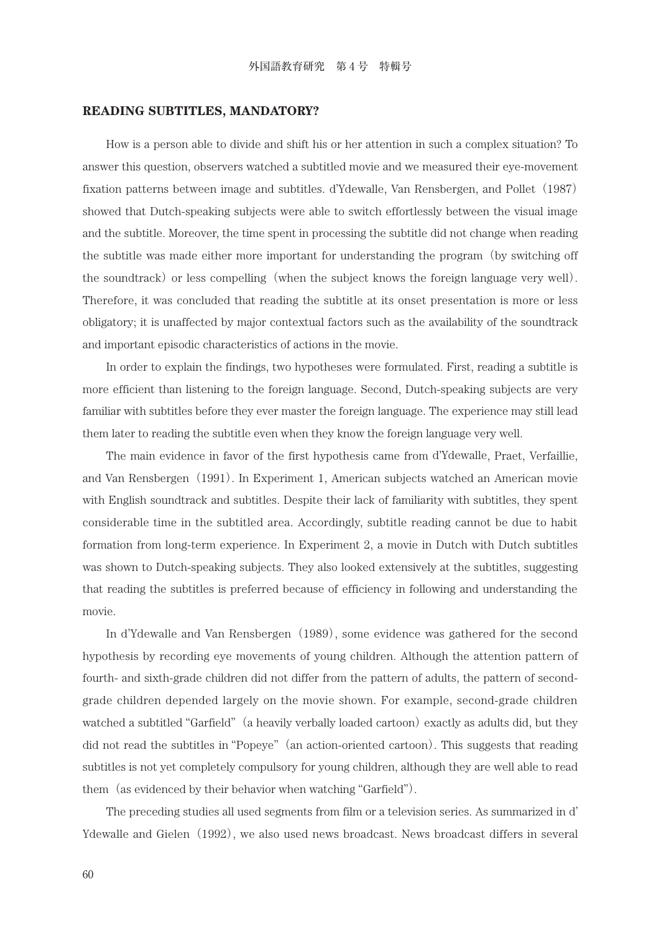#### **READING SUBTITLES, MANDATORY?**

How is a person able to divide and shift his or her attention in such a complex situation? To answer this question, observers watched a subtitled movie and we measured their eye-movement fixation patterns between image and subtitles. d'Ydewalle, Van Rensbergen, and Pollet(1987) showed that Dutch-speaking subjects were able to switch effortlessly between the visual image and the subtitle. Moreover, the time spent in processing the subtitle did not change when reading the subtitle was made either more important for understanding the program(by switching off the soundtrack) or less compelling(when the subject knows the foreign language very well). Therefore, it was concluded that reading the subtitle at its onset presentation is more or less obligatory; it is unaffected by major contextual factors such as the availability of the soundtrack and important episodic characteristics of actions in the movie.

In order to explain the findings, two hypotheses were formulated. First, reading a subtitle is more efficient than listening to the foreign language. Second, Dutch-speaking subjects are very familiar with subtitles before they ever master the foreign language. The experience may still lead them later to reading the subtitle even when they know the foreign language very well.

The main evidence in favor of the first hypothesis came from d'Ydewalle, Praet, Verfaillie, and Van Rensbergen(1991). In Experiment 1, American subjects watched an American movie with English soundtrack and subtitles. Despite their lack of familiarity with subtitles, they spent considerable time in the subtitled area. Accordingly, subtitle reading cannot be due to habit formation from long-term experience. In Experiment 2, a movie in Dutch with Dutch subtitles was shown to Dutch-speaking subjects. They also looked extensively at the subtitles, suggesting that reading the subtitles is preferred because of efficiency in following and understanding the movie.

In d'Ydewalle and Van Rensbergen (1989), some evidence was gathered for the second hypothesis by recording eye movements of young children. Although the attention pattern of fourth- and sixth-grade children did not differ from the pattern of adults, the pattern of secondgrade children depended largely on the movie shown. For example, second-grade children watched a subtitled "Garfield" (a heavily verbally loaded cartoon) exactly as adults did, but they did not read the subtitles in "Popeye" (an action-oriented cartoon). This suggests that reading subtitles is not yet completely compulsory for young children, although they are well able to read them (as evidenced by their behavior when watching "Garfield").

The preceding studies all used segments from film or a television series. As summarized in d' Ydewalle and Gielen (1992), we also used news broadcast. News broadcast differs in several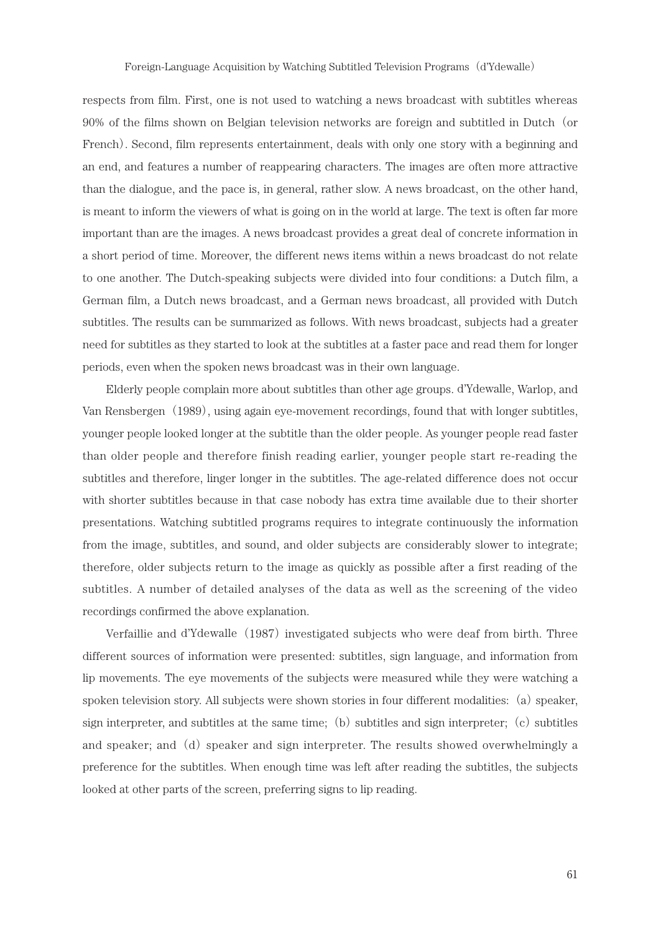respects from film. First, one is not used to watching a news broadcast with subtitles whereas 90% of the films shown on Belgian television networks are foreign and subtitled in Dutch(or French). Second, film represents entertainment, deals with only one story with a beginning and an end, and features a number of reappearing characters. The images are often more attractive than the dialogue, and the pace is, in general, rather slow. A news broadcast, on the other hand, is meant to inform the viewers of what is going on in the world at large. The text is often far more important than are the images. A news broadcast provides a great deal of concrete information in a short period of time. Moreover, the different news items within a news broadcast do not relate to one another. The Dutch-speaking subjects were divided into four conditions: a Dutch film, a German film, a Dutch news broadcast, and a German news broadcast, all provided with Dutch subtitles. The results can be summarized as follows. With news broadcast, subjects had a greater need for subtitles as they started to look at the subtitles at a faster pace and read them for longer periods, even when the spoken news broadcast was in their own language.

Elderly people complain more about subtitles than other age groups. d'Ydewalle, Warlop, and Van Rensbergen(1989), using again eye-movement recordings, found that with longer subtitles, younger people looked longer at the subtitle than the older people. As younger people read faster than older people and therefore finish reading earlier, younger people start re-reading the subtitles and therefore, linger longer in the subtitles. The age-related difference does not occur with shorter subtitles because in that case nobody has extra time available due to their shorter presentations. Watching subtitled programs requires to integrate continuously the information from the image, subtitles, and sound, and older subjects are considerably slower to integrate; therefore, older subjects return to the image as quickly as possible after a first reading of the subtitles. A number of detailed analyses of the data as well as the screening of the video recordings confirmed the above explanation.

Verfaillie and d'Ydewalle (1987) investigated subjects who were deaf from birth. Three different sources of information were presented: subtitles, sign language, and information from lip movements. The eye movements of the subjects were measured while they were watching a spoken television story. All subjects were shown stories in four different modalities:(a) speaker, sign interpreter, and subtitles at the same time; (b) subtitles and sign interpreter; (c) subtitles and speaker; and  $(d)$  speaker and sign interpreter. The results showed overwhelmingly a preference for the subtitles. When enough time was left after reading the subtitles, the subjects looked at other parts of the screen, preferring signs to lip reading.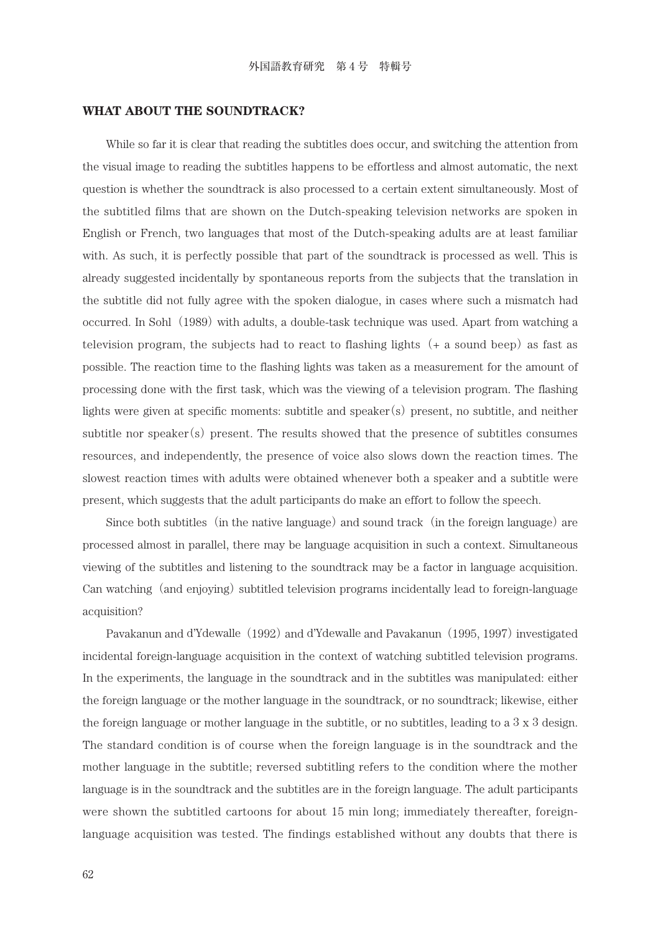### **WHAT ABOUT THE SOUNDTRACK?**

While so far it is clear that reading the subtitles does occur, and switching the attention from the visual image to reading the subtitles happens to be effortless and almost automatic, the next question is whether the soundtrack is also processed to a certain extent simultaneously. Most of the subtitled films that are shown on the Dutch-speaking television networks are spoken in English or French, two languages that most of the Dutch-speaking adults are at least familiar with. As such, it is perfectly possible that part of the soundtrack is processed as well. This is already suggested incidentally by spontaneous reports from the subjects that the translation in the subtitle did not fully agree with the spoken dialogue, in cases where such a mismatch had occurred. In Sohl(1989) with adults, a double-task technique was used. Apart from watching a television program, the subjects had to react to flashing lights  $(+ \text{ a sound } \text{beep})$  as fast as possible. The reaction time to the flashing lights was taken as a measurement for the amount of processing done with the first task, which was the viewing of a television program. The flashing lights were given at specific moments: subtitle and speaker(s) present, no subtitle, and neither subtitle nor speaker $(s)$  present. The results showed that the presence of subtitles consumes resources, and independently, the presence of voice also slows down the reaction times. The slowest reaction times with adults were obtained whenever both a speaker and a subtitle were present, which suggests that the adult participants do make an effort to follow the speech.

Since both subtitles (in the native language) and sound track (in the foreign language) are processed almost in parallel, there may be language acquisition in such a context. Simultaneous viewing of the subtitles and listening to the soundtrack may be a factor in language acquisition. Can watching (and enjoying) subtitled television programs incidentally lead to foreign-language acquisition?

Pavakanun and d'Ydewalle (1992) and d'Ydewalle and Pavakanun (1995, 1997) investigated incidental foreign-language acquisition in the context of watching subtitled television programs. In the experiments, the language in the soundtrack and in the subtitles was manipulated: either the foreign language or the mother language in the soundtrack, or no soundtrack; likewise, either the foreign language or mother language in the subtitle, or no subtitles, leading to a 3 x 3 design. The standard condition is of course when the foreign language is in the soundtrack and the mother language in the subtitle; reversed subtitling refers to the condition where the mother language is in the soundtrack and the subtitles are in the foreign language. The adult participants were shown the subtitled cartoons for about 15 min long; immediately thereafter, foreignlanguage acquisition was tested. The findings established without any doubts that there is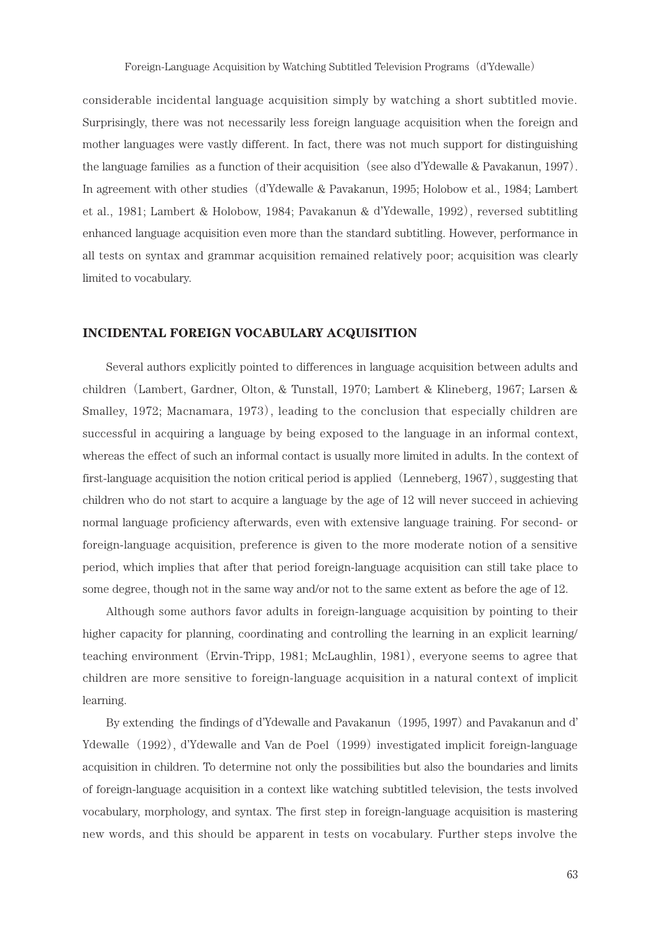considerable incidental language acquisition simply by watching a short subtitled movie. Surprisingly, there was not necessarily less foreign language acquisition when the foreign and mother languages were vastly different. In fact, there was not much support for distinguishing the language families as a function of their acquisition (see also d'Ydewalle & Pavakanun, 1997). In agreement with other studies(d'Ydewalle & Pavakanun, 1995; Holobow et al., 1984; Lambert et al., 1981; Lambert & Holobow, 1984; Pavakanun & d'Ydewalle, 1992), reversed subtitling enhanced language acquisition even more than the standard subtitling. However, performance in all tests on syntax and grammar acquisition remained relatively poor; acquisition was clearly limited to vocabulary.

# **INCIDENTAL FOREIGN VOCABULARY ACQUISITION**

Several authors explicitly pointed to differences in language acquisition between adults and children(Lambert, Gardner, Olton, & Tunstall, 1970; Lambert & Klineberg, 1967; Larsen & Smalley, 1972; Macnamara, 1973), leading to the conclusion that especially children are successful in acquiring a language by being exposed to the language in an informal context, whereas the effect of such an informal contact is usually more limited in adults. In the context of first-language acquisition the notion critical period is applied (Lenneberg,  $1967$ ), suggesting that children who do not start to acquire a language by the age of 12 will never succeed in achieving normal language proficiency afterwards, even with extensive language training. For second- or foreign-language acquisition, preference is given to the more moderate notion of a sensitive period, which implies that after that period foreign-language acquisition can still take place to some degree, though not in the same way and/or not to the same extent as before the age of 12.

Although some authors favor adults in foreign-language acquisition by pointing to their higher capacity for planning, coordinating and controlling the learning in an explicit learning teaching environment (Ervin-Tripp, 1981; McLaughlin, 1981), everyone seems to agree that children are more sensitive to foreign-language acquisition in a natural context of implicit learning.

By extending the findings of d'Ydewalle and Pavakanun (1995, 1997) and Pavakanun and d' Ydewalle (1992), d'Ydewalle and Van de Poel (1999) investigated implicit foreign-language acquisition in children. To determine not only the possibilities but also the boundaries and limits of foreign-language acquisition in a context like watching subtitled television, the tests involved vocabulary, morphology, and syntax. The first step in foreign-language acquisition is mastering new words, and this should be apparent in tests on vocabulary. Further steps involve the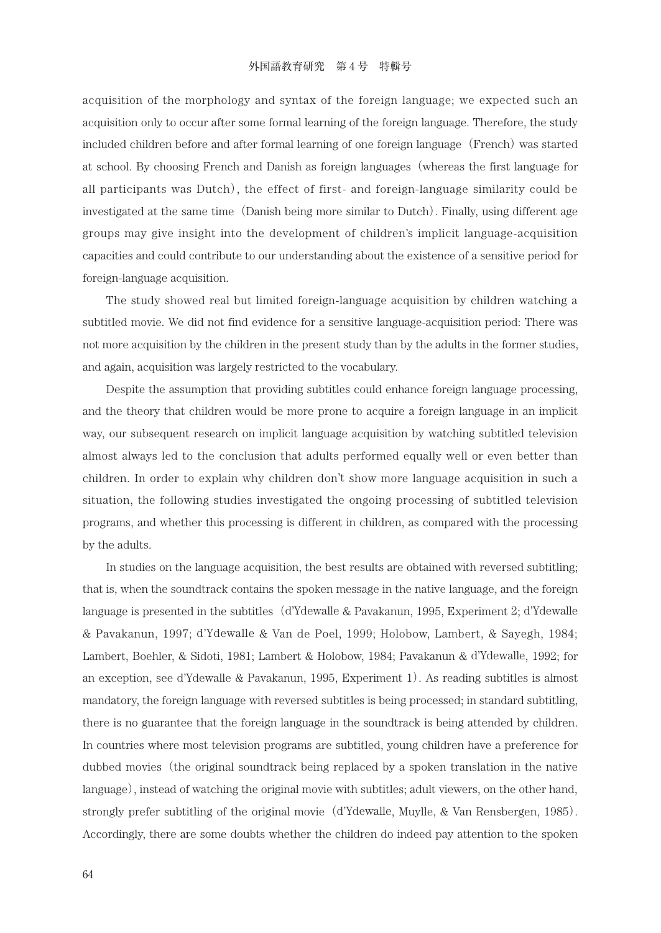acquisition of the morphology and syntax of the foreign language; we expected such an acquisition only to occur after some formal learning of the foreign language. Therefore, the study included children before and after formal learning of one foreign language(French) was started at school. By choosing French and Danish as foreign languages(whereas the first language for all participants was Dutch), the effect of first- and foreign-language similarity could be investigated at the same time (Danish being more similar to Dutch). Finally, using different age groups may give insight into the development of children's implicit language-acquisition capacities and could contribute to our understanding about the existence of a sensitive period for foreign-language acquisition.

The study showed real but limited foreign-language acquisition by children watching a subtitled movie. We did not find evidence for a sensitive language-acquisition period: There was not more acquisition by the children in the present study than by the adults in the former studies, and again, acquisition was largely restricted to the vocabulary.

Despite the assumption that providing subtitles could enhance foreign language processing, and the theory that children would be more prone to acquire a foreign language in an implicit way, our subsequent research on implicit language acquisition by watching subtitled television almost always led to the conclusion that adults performed equally well or even better than children. In order to explain why children don't show more language acquisition in such a situation, the following studies investigated the ongoing processing of subtitled television programs, and whether this processing is different in children, as compared with the processing by the adults.

In studies on the language acquisition, the best results are obtained with reversed subtitling; that is, when the soundtrack contains the spoken message in the native language, and the foreign language is presented in the subtitles (d'Ydewalle & Pavakanun, 1995, Experiment 2; d'Ydewalle & Pavakanun, 1997; d'Ydewalle & Van de Poel, 1999; Holobow, Lambert, & Sayegh, 1984; Lambert, Boehler, & Sidoti, 1981; Lambert & Holobow, 1984; Pavakanun & d'Ydewalle, 1992; for an exception, see d'Ydewalle & Pavakanun, 1995, Experiment 1). As reading subtitles is almost mandatory, the foreign language with reversed subtitles is being processed; in standard subtitling, there is no guarantee that the foreign language in the soundtrack is being attended by children. In countries where most television programs are subtitled, young children have a preference for dubbed movies (the original sound track being replaced by a spoken translation in the native language), instead of watching the original movie with subtitles; adult viewers, on the other hand, strongly prefer subtitling of the original movie (d'Ydewalle, Muylle, & Van Rensbergen, 1985). Accordingly, there are some doubts whether the children do indeed pay attention to the spoken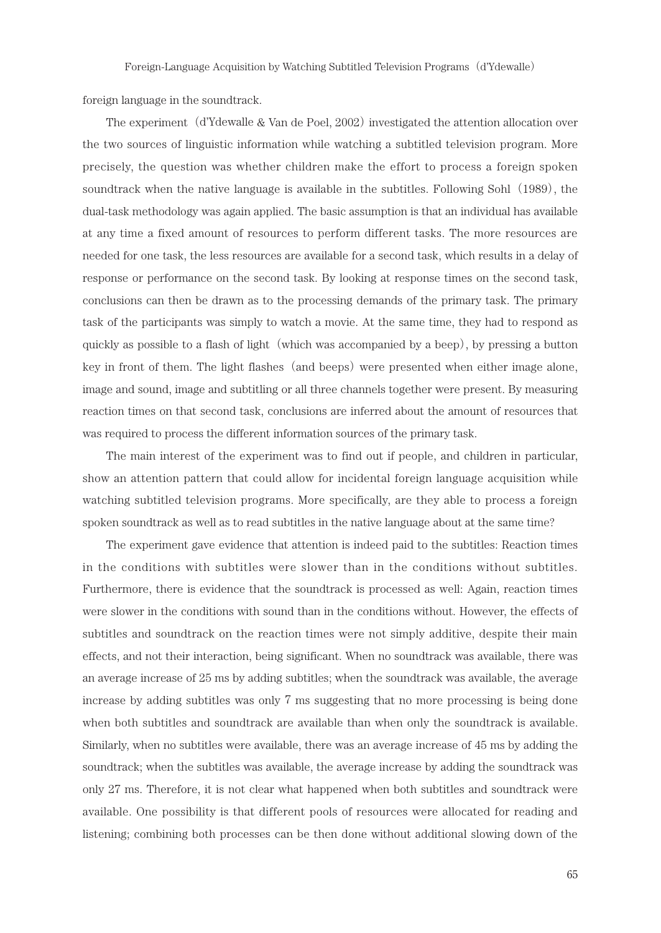foreign language in the soundtrack.

The experiment (d'Ydewalle & Van de Poel,  $2002$ ) investigated the attention allocation over the two sources of linguistic information while watching a subtitled television program. More precisely, the question was whether children make the effort to process a foreign spoken soundtrack when the native language is available in the subtitles. Following Sohl(1989), the dual-task methodology was again applied. The basic assumption is that an individual has available at any time a fixed amount of resources to perform different tasks. The more resources are needed for one task, the less resources are available for a second task, which results in a delay of response or performance on the second task. By looking at response times on the second task, conclusions can then be drawn as to the processing demands of the primary task. The primary task of the participants was simply to watch a movie. At the same time, they had to respond as quickly as possible to a flash of light (which was accompanied by a beep), by pressing a button key in front of them. The light flashes (and beeps) were presented when either image alone, image and sound, image and subtitling or all three channels together were present. By measuring reaction times on that second task, conclusions are inferred about the amount of resources that was required to process the different information sources of the primary task.

The main interest of the experiment was to find out if people, and children in particular, show an attention pattern that could allow for incidental foreign language acquisition while watching subtitled television programs. More specifically, are they able to process a foreign spoken soundtrack as well as to read subtitles in the native language about at the same time?

The experiment gave evidence that attention is indeed paid to the subtitles: Reaction times in the conditions with subtitles were slower than in the conditions without subtitles. Furthermore, there is evidence that the soundtrack is processed as well: Again, reaction times were slower in the conditions with sound than in the conditions without. However, the effects of subtitles and soundtrack on the reaction times were not simply additive, despite their main effects, and not their interaction, being significant. When no soundtrack was available, there was an average increase of 25 ms by adding subtitles; when the soundtrack was available, the average increase by adding subtitles was only 7 ms suggesting that no more processing is being done when both subtitles and soundtrack are available than when only the soundtrack is available. Similarly, when no subtitles were available, there was an average increase of 45 ms by adding the soundtrack; when the subtitles was available, the average increase by adding the soundtrack was only 27 ms. Therefore, it is not clear what happened when both subtitles and soundtrack were available. One possibility is that different pools of resources were allocated for reading and listening; combining both processes can be then done without additional slowing down of the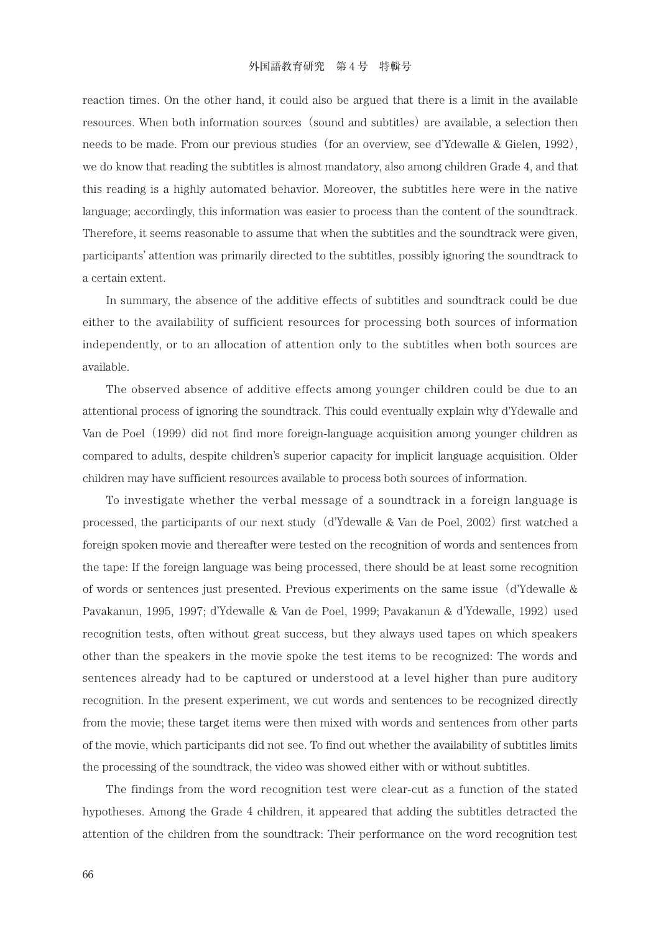reaction times. On the other hand, it could also be argued that there is a limit in the available resources. When both information sources (sound and subtitles) are available, a selection then needs to be made. From our previous studies (for an overview, see d'Ydewalle & Gielen, 1992), we do know that reading the subtitles is almost mandatory, also among children Grade 4, and that this reading is a highly automated behavior. Moreover, the subtitles here were in the native language; accordingly, this information was easier to process than the content of the soundtrack. Therefore, it seems reasonable to assume that when the subtitles and the soundtrack were given, participants' attention was primarily directed to the subtitles, possibly ignoring the soundtrack to a certain extent.

In summary, the absence of the additive effects of subtitles and soundtrack could be due either to the availability of sufficient resources for processing both sources of information independently, or to an allocation of attention only to the subtitles when both sources are available.

The observed absence of additive effects among younger children could be due to an attentional process of ignoring the soundtrack. This could eventually explain why d'Ydewalle and Van de Poel(1999) did not find more foreign-language acquisition among younger children as compared to adults, despite children's superior capacity for implicit language acquisition. Older children may have sufficient resources available to process both sources of information.

To investigate whether the verbal message of a soundtrack in a foreign language is processed, the participants of our next study(d'Ydewalle & Van de Poel, 2002) first watched a foreign spoken movie and thereafter were tested on the recognition of words and sentences from the tape: If the foreign language was being processed, there should be at least some recognition of words or sentences just presented. Previous experiments on the same issue (d'Ydewalle  $\&$ Pavakanun, 1995, 1997; d'Ydewalle & Van de Poel, 1999; Pavakanun & d'Ydewalle, 1992) used recognition tests, often without great success, but they always used tapes on which speakers other than the speakers in the movie spoke the test items to be recognized: The words and sentences already had to be captured or understood at a level higher than pure auditory recognition. In the present experiment, we cut words and sentences to be recognized directly from the movie; these target items were then mixed with words and sentences from other parts of the movie, which participants did not see. To find out whether the availability of subtitles limits the processing of the soundtrack, the video was showed either with or without subtitles.

The findings from the word recognition test were clear-cut as a function of the stated hypotheses. Among the Grade 4 children, it appeared that adding the subtitles detracted the attention of the children from the soundtrack: Their performance on the word recognition test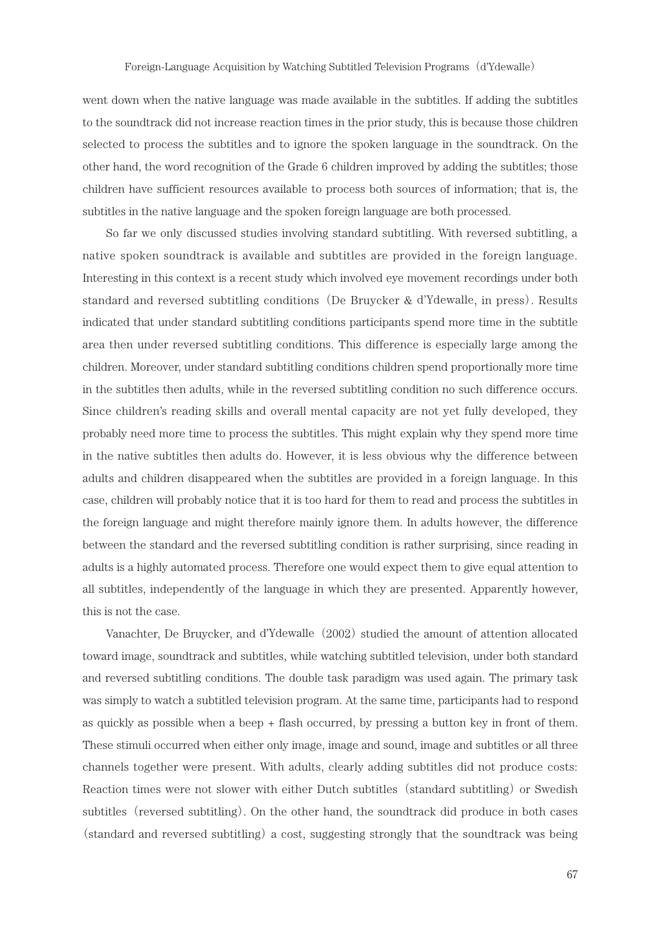went down when the native language was made available in the subtitles. If adding the subtitles to the soundtrack did not increase reaction times in the prior study, this is because those children selected to process the subtitles and to ignore the spoken language in the soundtrack. On the other hand, the word recognition of the Grade 6 children improved by adding the subtitles; those children have sufficient resources available to process both sources of information; that is, the subtitles in the native language and the spoken foreign language are both processed.

So far we only discussed studies involving standard subtitling. With reversed subtitling, a native spoken soundtrack is available and subtitles are provided in the foreign language. Interesting in this context is a recent study which involved eye movement recordings under both standard and reversed subtitling conditions(De Bruycker & d'Ydewalle, in press). Results indicated that under standard subtitling conditions participants spend more time in the subtitle area then under reversed subtitling conditions. This difference is especially large among the children. Moreover, under standard subtitling conditions children spend proportionally more time in the subtitles then adults, while in the reversed subtitling condition no such difference occurs. Since children's reading skills and overall mental capacity are not yet fully developed, they probably need more time to process the subtitles. This might explain why they spend more time in the native subtitles then adults do. However, it is less obvious why the difference between adults and children disappeared when the subtitles are provided in a foreign language. In this case, children will probably notice that it is too hard for them to read and process the subtitles in the foreign language and might therefore mainly ignore them. In adults however, the difference between the standard and the reversed subtitling condition is rather surprising, since reading in adults is a highly automated process. Therefore one would expect them to give equal attention to all subtitles, independently of the language in which they are presented. Apparently however, this is not the case.

Vanachter, De Bruycker, and d'Ydewalle(2002) studied the amount of attention allocated toward image, soundtrack and subtitles, while watching subtitled television, under both standard and reversed subtitling conditions. The double task paradigm was used again. The primary task was simply to watch a subtitled television program. At the same time, participants had to respond as quickly as possible when a beep + flash occurred, by pressing a button key in front of them. These stimuli occurred when either only image, image and sound, image and subtitles or all three channels together were present. With adults, clearly adding subtitles did not produce costs: Reaction times were not slower with either Dutch subtitles (standard subtitling) or Swedish subtitles (reversed subtitling). On the other hand, the soundtrack did produce in both cases (standard and reversed subtitling) a cost, suggesting strongly that the soundtrack was being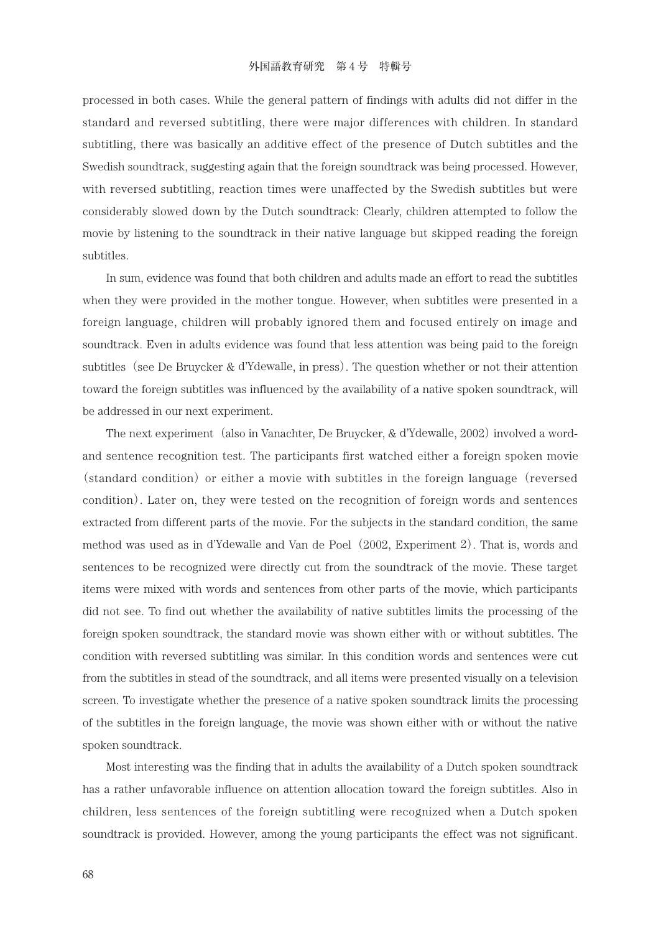# 外国語教育研究 第4号 特輯号

processed in both cases. While the general pattern of findings with adults did not differ in the standard and reversed subtitling, there were major differences with children. In standard subtitling, there was basically an additive effect of the presence of Dutch subtitles and the Swedish soundtrack, suggesting again that the foreign soundtrack was being processed. However, with reversed subtitling, reaction times were unaffected by the Swedish subtitles but were considerably slowed down by the Dutch soundtrack: Clearly, children attempted to follow the movie by listening to the soundtrack in their native language but skipped reading the foreign subtitles.

In sum, evidence was found that both children and adults made an effort to read the subtitles when they were provided in the mother tongue. However, when subtitles were presented in a foreign language, children will probably ignored them and focused entirely on image and soundtrack. Even in adults evidence was found that less attention was being paid to the foreign subtitles (see De Bruycker & d'Ydewalle, in press). The question whether or not their attention toward the foreign subtitles was influenced by the availability of a native spoken soundtrack, will be addressed in our next experiment.

The next experiment (also in Vanachter, De Bruycker, & d'Ydewalle, 2002) involved a wordand sentence recognition test. The participants first watched either a foreign spoken movie (standard condition) or either a movie with subtitles in the foreign language(reversed condition). Later on, they were tested on the recognition of foreign words and sentences extracted from different parts of the movie. For the subjects in the standard condition, the same method was used as in d'Ydewalle and Van de Poel(2002, Experiment 2). That is, words and sentences to be recognized were directly cut from the soundtrack of the movie. These target items were mixed with words and sentences from other parts of the movie, which participants did not see. To find out whether the availability of native subtitles limits the processing of the foreign spoken soundtrack, the standard movie was shown either with or without subtitles. The condition with reversed subtitling was similar. In this condition words and sentences were cut from the subtitles in stead of the soundtrack, and all items were presented visually on a television screen. To investigate whether the presence of a native spoken soundtrack limits the processing of the subtitles in the foreign language, the movie was shown either with or without the native spoken soundtrack.

Most interesting was the finding that in adults the availability of a Dutch spoken soundtrack has a rather unfavorable influence on attention allocation toward the foreign subtitles. Also in children, less sentences of the foreign subtitling were recognized when a Dutch spoken soundtrack is provided. However, among the young participants the effect was not significant.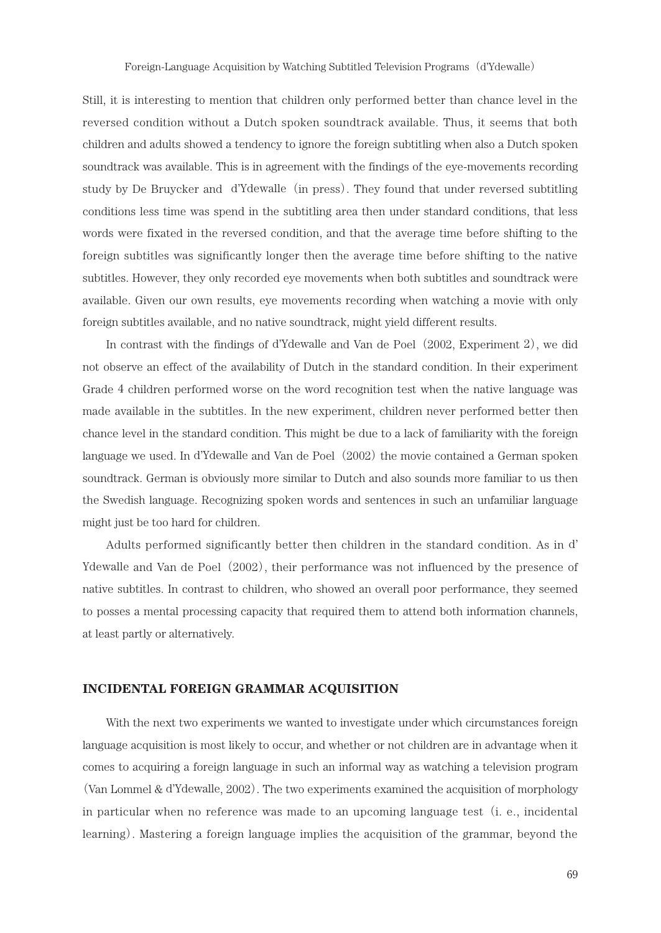Still, it is interesting to mention that children only performed better than chance level in the reversed condition without a Dutch spoken soundtrack available. Thus, it seems that both children and adults showed a tendency to ignore the foreign subtitling when also a Dutch spoken soundtrack was available. This is in agreement with the findings of the eye-movements recording study by De Bruycker and d'Ydewalle (in press). They found that under reversed subtitling conditions less time was spend in the subtitling area then under standard conditions, that less words were fixated in the reversed condition, and that the average time before shifting to the foreign subtitles was significantly longer then the average time before shifting to the native subtitles. However, they only recorded eye movements when both subtitles and soundtrack were available. Given our own results, eye movements recording when watching a movie with only foreign subtitles available, and no native soundtrack, might yield different results.

In contrast with the findings of d'Ydewalle and Van de Poel(2002, Experiment 2), we did not observe an effect of the availability of Dutch in the standard condition. In their experiment Grade 4 children performed worse on the word recognition test when the native language was made available in the subtitles. In the new experiment, children never performed better then chance level in the standard condition. This might be due to a lack of familiarity with the foreign language we used. In d'Ydewalle and Van de Poel(2002) the movie contained a German spoken soundtrack. German is obviously more similar to Dutch and also sounds more familiar to us then the Swedish language. Recognizing spoken words and sentences in such an unfamiliar language might just be too hard for children.

Adults performed significantly better then children in the standard condition. As in d' Ydewalle and Van de Poel (2002), their performance was not influenced by the presence of native subtitles. In contrast to children, who showed an overall poor performance, they seemed to posses a mental processing capacity that required them to attend both information channels, at least partly or alternatively.

#### **INCIDENTAL FOREIGN GRAMMAR ACQUISITION**

With the next two experiments we wanted to investigate under which circumstances foreign language acquisition is most likely to occur, and whether or not children are in advantage when it comes to acquiring a foreign language in such an informal way as watching a television program (Van Lommel & d'Ydewalle, 2002). The two experiments examined the acquisition of morphology in particular when no reference was made to an upcoming language test(i. e., incidental learning). Mastering a foreign language implies the acquisition of the grammar, beyond the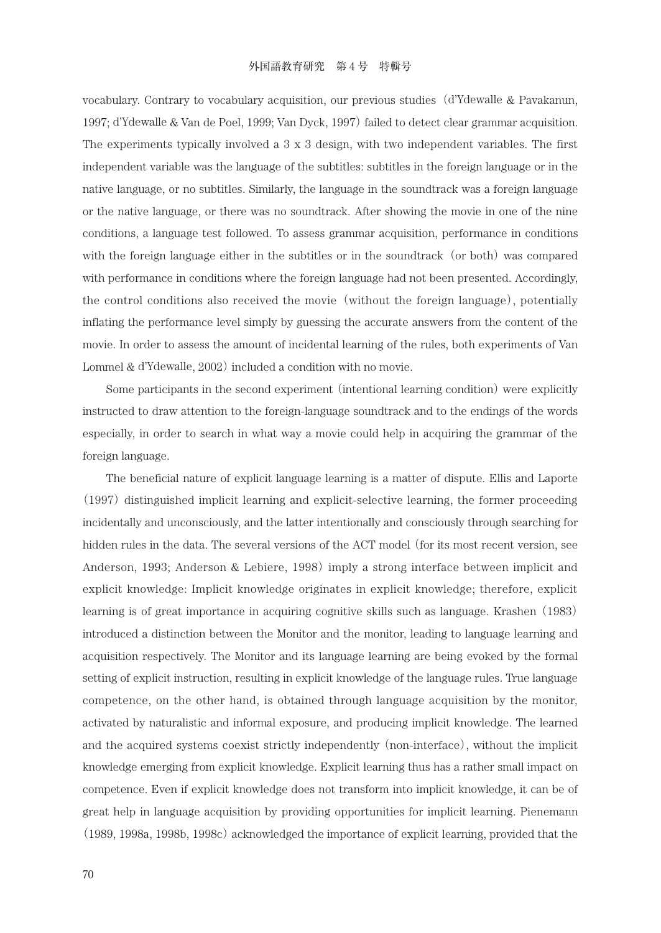# 外国語教育研究 第4号 特輯号

vocabulary. Contrary to vocabulary acquisition, our previous studies(d'Ydewalle & Pavakanun, 1997; d'Ydewalle & Van de Poel, 1999; Van Dyck, 1997) failed to detect clear grammar acquisition. The experiments typically involved a 3 x 3 design, with two independent variables. The first independent variable was the language of the subtitles: subtitles in the foreign language or in the native language, or no subtitles. Similarly, the language in the soundtrack was a foreign language or the native language, or there was no soundtrack. After showing the movie in one of the nine conditions, a language test followed. To assess grammar acquisition, performance in conditions with the foreign language either in the subtitles or in the soundtrack (or both) was compared with performance in conditions where the foreign language had not been presented. Accordingly, the control conditions also received the movie(without the foreign language), potentially inflating the performance level simply by guessing the accurate answers from the content of the movie. In order to assess the amount of incidental learning of the rules, both experiments of Van Lommel & d'Ydewalle, 2002) included a condition with no movie.

Some participants in the second experiment (intentional learning condition) were explicitly instructed to draw attention to the foreign-language soundtrack and to the endings of the words especially, in order to search in what way a movie could help in acquiring the grammar of the foreign language.

The beneficial nature of explicit language learning is a matter of dispute. Ellis and Laporte (1997) distinguished implicit learning and explicit-selective learning, the former proceeding incidentally and unconsciously, and the latter intentionally and consciously through searching for hidden rules in the data. The several versions of the ACT model (for its most recent version, see Anderson, 1993; Anderson & Lebiere, 1998) imply a strong interface between implicit and explicit knowledge: Implicit knowledge originates in explicit knowledge; therefore, explicit learning is of great importance in acquiring cognitive skills such as language. Krashen (1983) introduced a distinction between the Monitor and the monitor, leading to language learning and acquisition respectively. The Monitor and its language learning are being evoked by the formal setting of explicit instruction, resulting in explicit knowledge of the language rules. True language competence, on the other hand, is obtained through language acquisition by the monitor, activated by naturalistic and informal exposure, and producing implicit knowledge. The learned and the acquired systems coexist strictly independently (non-interface), without the implicit knowledge emerging from explicit knowledge. Explicit learning thus has a rather small impact on competence. Even if explicit knowledge does not transform into implicit knowledge, it can be of great help in language acquisition by providing opportunities for implicit learning. Pienemann (1989, 1998a, 1998b, 1998c) acknowledged the importance of explicit learning, provided that the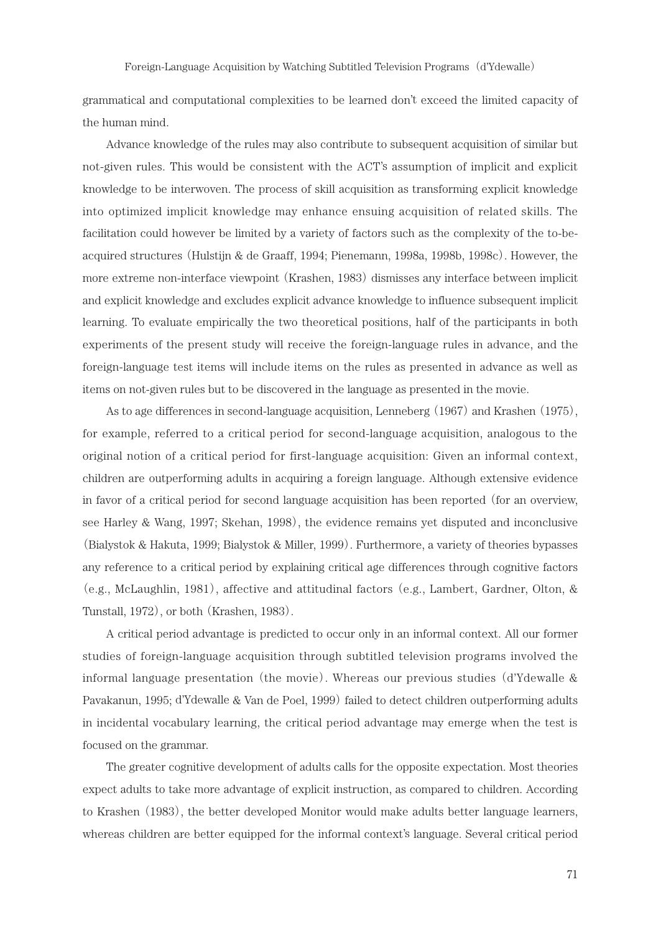grammatical and computational complexities to be learned don't exceed the limited capacity of the human mind.

Advance knowledge of the rules may also contribute to subsequent acquisition of similar but not-given rules. This would be consistent with the ACT's assumption of implicit and explicit knowledge to be interwoven. The process of skill acquisition as transforming explicit knowledge into optimized implicit knowledge may enhance ensuing acquisition of related skills. The facilitation could however be limited by a variety of factors such as the complexity of the to-beacquired structures (Hulstijn & de Graaff, 1994; Pienemann, 1998a, 1998b, 1998c). However, the more extreme non-interface viewpoint (Krashen, 1983) dismisses any interface between implicit and explicit knowledge and excludes explicit advance knowledge to influence subsequent implicit learning. To evaluate empirically the two theoretical positions, half of the participants in both experiments of the present study will receive the foreign-language rules in advance, and the foreign-language test items will include items on the rules as presented in advance as well as items on not-given rules but to be discovered in the language as presented in the movie.

As to age differences in second-language acquisition, Lenneberg (1967) and Krashen (1975), for example, referred to a critical period for second-language acquisition, analogous to the original notion of a critical period for first-language acquisition: Given an informal context, children are outperforming adults in acquiring a foreign language. Although extensive evidence in favor of a critical period for second language acquisition has been reported (for an overview, see Harley & Wang, 1997; Skehan, 1998), the evidence remains yet disputed and inconclusive (Bialystok & Hakuta, 1999; Bialystok & Miller, 1999). Furthermore, a variety of theories bypasses any reference to a critical period by explaining critical age differences through cognitive factors (e.g., McLaughlin, 1981), affective and attitudinal factors (e.g., Lambert, Gardner, Olton, & Tunstall, 1972), or both (Krashen, 1983).

A critical period advantage is predicted to occur only in an informal context. All our former studies of foreign-language acquisition through subtitled television programs involved the informal language presentation (the movie). Whereas our previous studies (d'Ydewalle & Pavakanun, 1995; d'Ydewalle & Van de Poel, 1999) failed to detect children outperforming adults in incidental vocabulary learning, the critical period advantage may emerge when the test is focused on the grammar.

The greater cognitive development of adults calls for the opposite expectation. Most theories expect adults to take more advantage of explicit instruction, as compared to children. According to Krashen (1983), the better developed Monitor would make adults better language learners, whereas children are better equipped for the informal context's language. Several critical period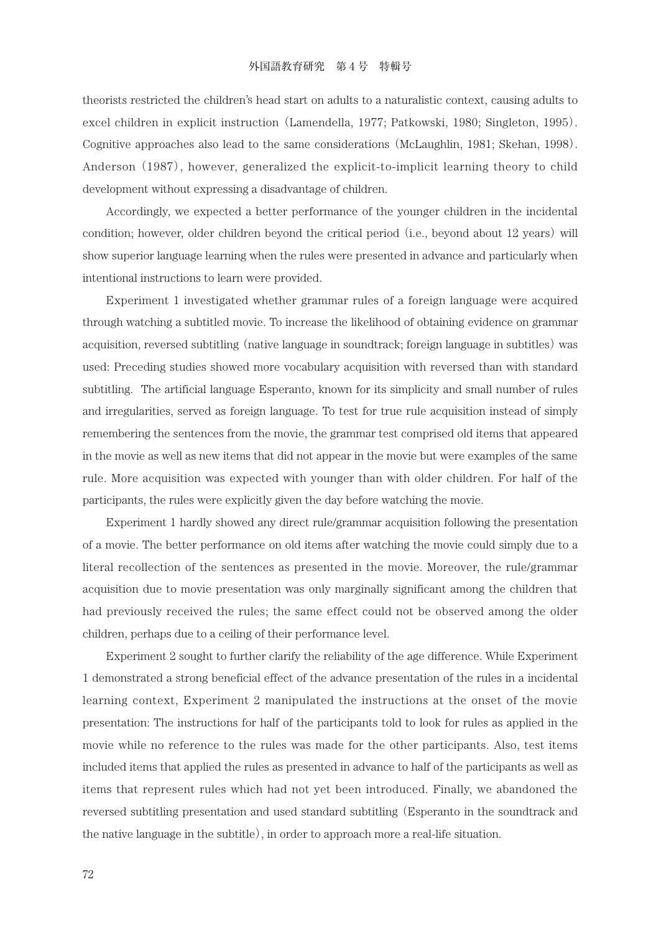theorists restricted the children's head start on adults to a naturalistic context, causing adults to excel children in explicit instruction (Lamendella, 1977; Patkowski, 1980; Singleton, 1995). Cognitive approaches also lead to the same considerations (McLaughlin, 1981; Skehan, 1998). Anderson (1987), however, generalized the explicit-to-implicit learning theory to child development without expressing a disadvantage of children.

Accordingly, we expected a better performance of the younger children in the incidental condition; however, older children beyond the critical period (i.e., beyond about 12 years) will show superior language learning when the rules were presented in advance and particularly when intentional instructions to learn were provided.

Experiment 1 investigated whether grammar rules of a foreign language were acquired through watching a subtitled movie. To increase the likelihood of obtaining evidence on grammar acquisition, reversed subtitling (native language in soundtrack; foreign language in subtitles) was used: Preceding studies showed more vocabulary acquisition with reversed than with standard subtitling. The artificial language Esperanto, known for its simplicity and small number of rules and irregularities, served as foreign language. To test for true rule acquisition instead of simply remembering the sentences from the movie, the grammar test comprised old items that appeared in the movie as well as new items that did not appear in the movie but were examples of the same rule. More acquisition was expected with younger than with older children. For half of the participants, the rules were explicitly given the day before watching the movie.

Experiment 1 hardly showed any direct rule/grammar acquisition following the presentation of a movie. The better performance on old items after watching the movie could simply due to a literal recollection of the sentences as presented in the movie. Moreover, the rule/grammar acquisition due to movie presentation was only marginally significant among the children that had previously received the rules; the same effect could not be observed among the older children, perhaps due to a ceiling of their performance level.

Experiment 2 sought to further clarify the reliability of the age difference. While Experiment 1 demonstrated a strong beneficial effect of the advance presentation of the rules in a incidental learning context, Experiment 2 manipulated the instructions at the onset of the movie presentation: The instructions for half of the participants told to look for rules as applied in the movie while no reference to the rules was made for the other participants. Also, test items included items that applied the rules as presented in advance to half of the participants as well as items that represent rules which had not yet been introduced. Finally, we abandoned the reversed subtitling presentation and used standard subtitling (Esperanto in the soundtrack and the native language in the subtitle), in order to approach more a real-life situation.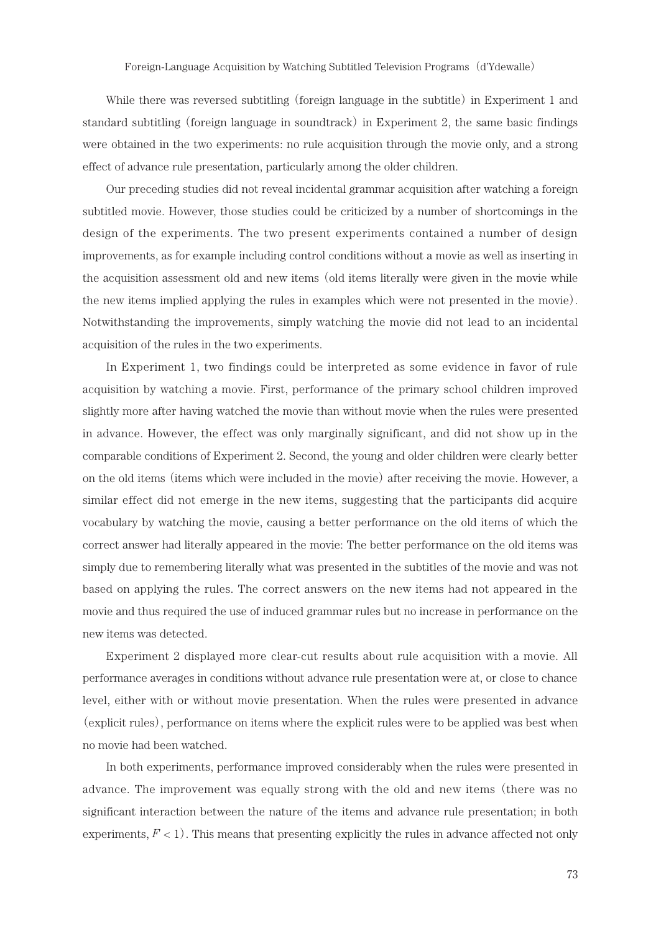While there was reversed subtitling (foreign language in the subtitle) in Experiment 1 and standard subtitling (foreign language in soundtrack) in Experiment 2, the same basic findings were obtained in the two experiments: no rule acquisition through the movie only, and a strong effect of advance rule presentation, particularly among the older children.

Our preceding studies did not reveal incidental grammar acquisition after watching a foreign subtitled movie. However, those studies could be criticized by a number of shortcomings in the design of the experiments. The two present experiments contained a number of design improvements, as for example including control conditions without a movie as well as inserting in the acquisition assessment old and new items (old items literally were given in the movie while the new items implied applying the rules in examples which were not presented in the movie). Notwithstanding the improvements, simply watching the movie did not lead to an incidental acquisition of the rules in the two experiments.

In Experiment 1, two findings could be interpreted as some evidence in favor of rule acquisition by watching a movie. First, performance of the primary school children improved slightly more after having watched the movie than without movie when the rules were presented in advance. However, the effect was only marginally significant, and did not show up in the comparable conditions of Experiment 2. Second, the young and older children were clearly better on the old items (items which were included in the movie) after receiving the movie. However, a similar effect did not emerge in the new items, suggesting that the participants did acquire vocabulary by watching the movie, causing a better performance on the old items of which the correct answer had literally appeared in the movie: The better performance on the old items was simply due to remembering literally what was presented in the subtitles of the movie and was not based on applying the rules. The correct answers on the new items had not appeared in the movie and thus required the use of induced grammar rules but no increase in performance on the new items was detected.

Experiment 2 displayed more clear-cut results about rule acquisition with a movie. All performance averages in conditions without advance rule presentation were at, or close to chance level, either with or without movie presentation. When the rules were presented in advance (explicit rules), performance on items where the explicit rules were to be applied was best when no movie had been watched.

In both experiments, performance improved considerably when the rules were presented in advance. The improvement was equally strong with the old and new items (there was no significant interaction between the nature of the items and advance rule presentation; in both experiments,  $F < 1$ ). This means that presenting explicitly the rules in advance affected not only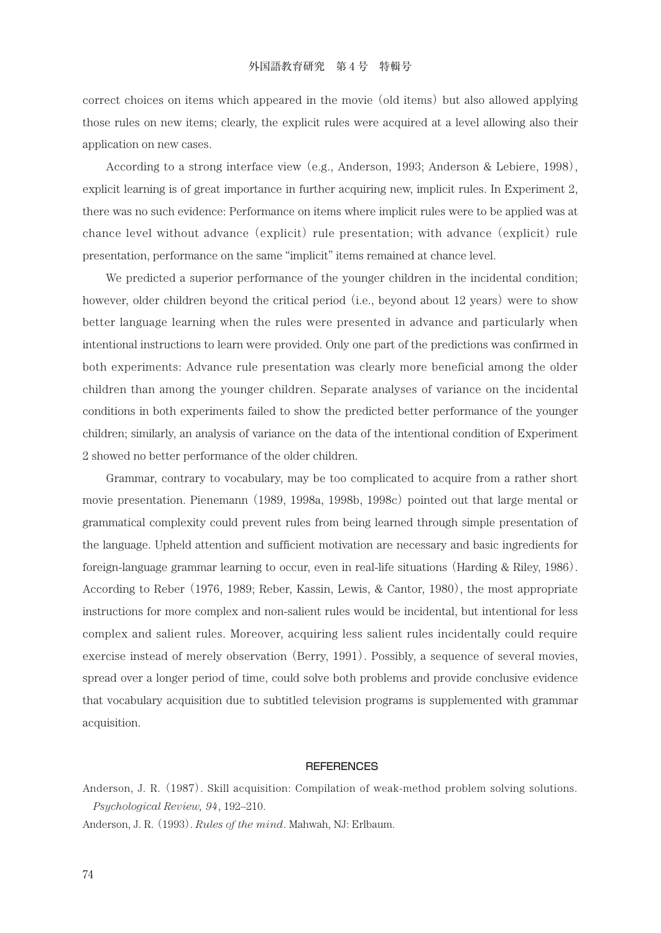correct choices on items which appeared in the movie (old items) but also allowed applying those rules on new items; clearly, the explicit rules were acquired at a level allowing also their application on new cases.

According to a strong interface view (e.g., Anderson, 1993; Anderson & Lebiere, 1998), explicit learning is of great importance in further acquiring new, implicit rules. In Experiment 2, there was no such evidence: Performance on items where implicit rules were to be applied was at chance level without advance (explicit) rule presentation; with advance (explicit) rule presentation, performance on the same "implicit" items remained at chance level.

We predicted a superior performance of the younger children in the incidental condition; however, older children beyond the critical period (i.e., beyond about 12 years) were to show better language learning when the rules were presented in advance and particularly when intentional instructions to learn were provided. Only one part of the predictions was confirmed in both experiments: Advance rule presentation was clearly more beneficial among the older children than among the younger children. Separate analyses of variance on the incidental conditions in both experiments failed to show the predicted better performance of the younger children; similarly, an analysis of variance on the data of the intentional condition of Experiment 2 showed no better performance of the older children.

Grammar, contrary to vocabulary, may be too complicated to acquire from a rather short movie presentation. Pienemann (1989, 1998a, 1998b, 1998c) pointed out that large mental or grammatical complexity could prevent rules from being learned through simple presentation of the language. Upheld attention and sufficient motivation are necessary and basic ingredients for foreign-language grammar learning to occur, even in real-life situations (Harding & Riley, 1986). According to Reber (1976, 1989; Reber, Kassin, Lewis, & Cantor, 1980), the most appropriate instructions for more complex and non-salient rules would be incidental, but intentional for less complex and salient rules. Moreover, acquiring less salient rules incidentally could require exercise instead of merely observation (Berry, 1991). Possibly, a sequence of several movies, spread over a longer period of time, could solve both problems and provide conclusive evidence that vocabulary acquisition due to subtitled television programs is supplemented with grammar acquisition.

#### **REFERENCES**

Anderson, J. R. (1987). Skill acquisition: Compilation of weak-method problem solving solutions. *Psychological Review, 94*, 192–210.

Anderson, J. R. (1993). *Rules of the mind*. Mahwah, NJ: Erlbaum.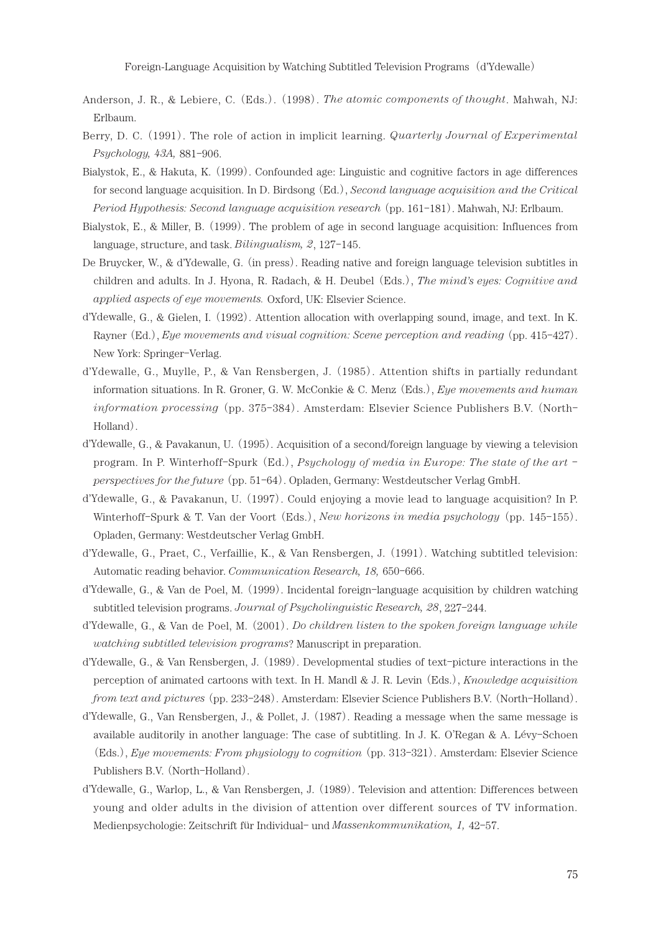Foreign-Language Acquisition by Watching Subtitled Television Programs(d'Ydewalle)

- Anderson, J. R., & Lebiere, C. (Eds.). (1998). *The atomic components of thought*. Mahwah, NJ: Erlbaum.
- Berry, D. C. (1991). The role of action in implicit learning. *Quarterly Journal of Experimental Psychology, 43A,* 881‒906.
- Bialystok, E., & Hakuta, K. (1999). Confounded age: Linguistic and cognitive factors in age differences for second language acquisition. In D. Birdsong (Ed.), *Second language acquisition and the Critical Period Hypothesis: Second language acquisition research* (pp. 161–181). Mahwah, NJ: Erlbaum.
- Bialystok, E., & Miller, B. (1999). The problem of age in second language acquisition: Influences from language, structure, and task. *Bilingualism*, 2, 127-145.
- De Bruycker, W., & d'Ydewalle, G. (in press). Reading native and foreign language television subtitles in children and adults. In J. Hyona, R. Radach, & H. Deubel (Eds.), *The mind's eyes: Cognitive and applied aspects of eye movements.* Oxford, UK: Elsevier Science.
- d'Ydewalle, G., & Gielen, I. (1992). Attention allocation with overlapping sound, image, and text. In K. Rayner (Ed.), *Eye movements and visual cognition: Scene perception and reading* (pp. 415–427). New York: Springer-Verlag.
- d'Ydewalle, G., Muylle, P., & Van Rensbergen, J. (1985). Attention shifts in partially redundant information situations. In R. Groner, G. W. McConkie & C. Menz (Eds.), *Eye movements and human information processing* (pp. 375–384). Amsterdam: Elsevier Science Publishers B.V. (North– Holland).
- d'Ydewalle, G., & Pavakanun, U. (1995). Acquisition of a second/foreign language by viewing a television program. In P. Winterhoff-Spurk (Ed.), *Psychology of media in Europe: The state of the art* – *perspectives for the future* (pp. 51–64). Opladen, Germany: Westdeutscher Verlag GmbH.
- d'Ydewalle, G., & Pavakanun, U. (1997). Could enjoying a movie lead to language acquisition? In P. Winterhoff-Spurk & T. Van der Voort (Eds.), *New horizons in media psychology* (pp. 145–155). Opladen, Germany: Westdeutscher Verlag GmbH.
- d'Ydewalle, G., Praet, C., Verfaillie, K., & Van Rensbergen, J. (1991). Watching subtitled television: Automatic reading behavior. *Communication Research*, 18, 650-666.
- d'Ydewalle, G., & Van de Poel, M. (1999). Incidental foreign-language acquisition by children watching subtitled television programs. *Journal of Psycholinguistic Research*, 28, 227-244.
- d'Ydewalle, G., & Van de Poel, M. (2001). *Do children listen to the spoken foreign language while watching subtitled television programs*? Manuscript in preparation.
- d'Ydewalle, G., & Van Rensbergen, J.  $(1989)$ . Developmental studies of text-picture interactions in the perception of animated cartoons with text. In H. Mandl & J. R. Levin (Eds.), *Knowledge acquisition from text and pictures* (pp. 233–248). Amsterdam: Elsevier Science Publishers B.V. (North–Holland).
- d'Ydewalle, G., Van Rensbergen, J., & Pollet, J. (1987). Reading a message when the same message is available auditorily in another language: The case of subtitling. In J. K. O'Regan & A. Lévy-Schoen (Eds.), *Eye movements: From physiology to cognition*(pp. 313‒321). Amsterdam: Elsevier Science Publishers B.V. (North-Holland).
- d'Ydewalle, G., Warlop, L., & Van Rensbergen, J. (1989). Television and attention: Differences between young and older adults in the division of attention over different sources of TV information. Medienpsychologie: Zeitschrift für Individual‒ und *Massenkommunikation, 1,* 42‒57.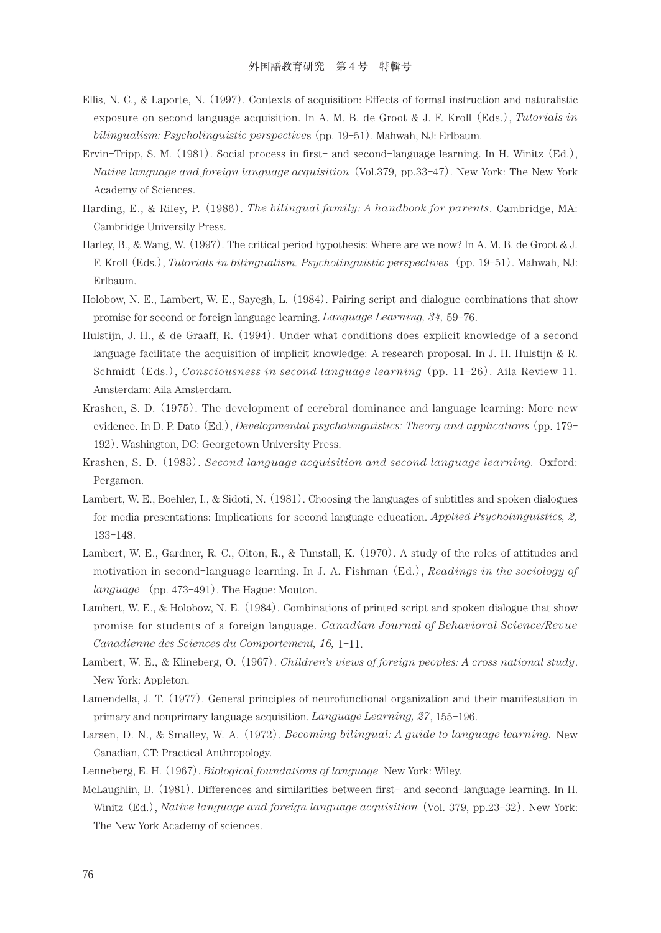# 外国語教育研究 第4号 特輯号

- Ellis, N. C., & Laporte, N. (1997). Contexts of acquisition: Effects of formal instruction and naturalistic exposure on second language acquisition. In A. M. B. de Groot & J. F. Kroll (Eds.), *Tutorials in bilingualism: Psycholinguistic perspective*s (pp. 19‒51). Mahwah, NJ: Erlbaum.
- Ervin–Tripp, S. M.  $(1981)$ . Social process in first– and second–language learning. In H. Winitz  $(Ed.)$ , *Native language and foreign language acquisition* (Vol.379, pp.33–47). New York: The New York Academy of Sciences.
- Harding, E., & Riley, P. (1986). *The bilingual family: A handbook for parents*. Cambridge, MA: Cambridge University Press.
- Harley, B., & Wang, W. (1997). The critical period hypothesis: Where are we now? In A. M. B. de Groot & J. F. Kroll (Eds.), *Tutorials in bilingualism. Psycholinguistic perspectives* (pp. 19‒51). Mahwah, NJ: Erlbaum.
- Holobow, N. E., Lambert, W. E., Sayegh, L. (1984). Pairing script and dialogue combinations that show promise for second or foreign language learning. *Language Learning, 34,* 59‒76.
- Hulstijn, J. H., & de Graaff, R. (1994). Under what conditions does explicit knowledge of a second language facilitate the acquisition of implicit knowledge: A research proposal. In J. H. Hulstijn & R. Schmidt (Eds.), *Consciousness in second language learning*(pp. 11‒26). Aila Review 11. Amsterdam: Aila Amsterdam.
- Krashen, S. D. (1975). The development of cerebral dominance and language learning: More new evidence. In D. P. Dato (Ed.), *Developmental psycholinguistics: Theory and applications* (pp. 179– 192). Washington, DC: Georgetown University Press.
- Krashen, S. D. (1983). *Second language acquisition and second language learning.* Oxford: Pergamon.
- Lambert, W. E., Boehler, I., & Sidoti, N. (1981). Choosing the languages of subtitles and spoken dialogues for media presentations: Implications for second language education. *Applied Psycholinguistics, 2,*  133‒148.
- Lambert, W. E., Gardner, R. C., Olton, R., & Tunstall, K. (1970). A study of the roles of attitudes and motivation in second-language learning. In J. A. Fishman (Ed.), *Readings in the sociology of language* (pp. 473‒491). The Hague: Mouton.
- Lambert, W. E., & Holobow, N. E. (1984). Combinations of printed script and spoken dialogue that show promise for students of a foreign language. *Canadian Journal of Behavioral Science/Revue Canadienne des Sciences du Comportement, 16,* 1‒11.
- Lambert, W. E., & Klineberg, O. (1967). *Children's views of foreign peoples: A cross national study*. New York: Appleton.
- Lamendella, J. T. (1977). General principles of neurofunctional organization and their manifestation in primary and nonprimary language acquisition. *Language Learning, 27*, 155-196.
- Larsen, D. N., & Smalley, W. A. (1972). *Becoming bilingual: A guide to language learning.* New Canadian, CT: Practical Anthropology.
- Lenneberg, E. H. (1967). *Biological foundations of language.* New York: Wiley.
- McLaughlin, B. (1981). Differences and similarities between first- and second-language learning. In H. Winitz (Ed.), *Native language and foreign language acquisition* (Vol. 379, pp.23–32). New York: The New York Academy of sciences.